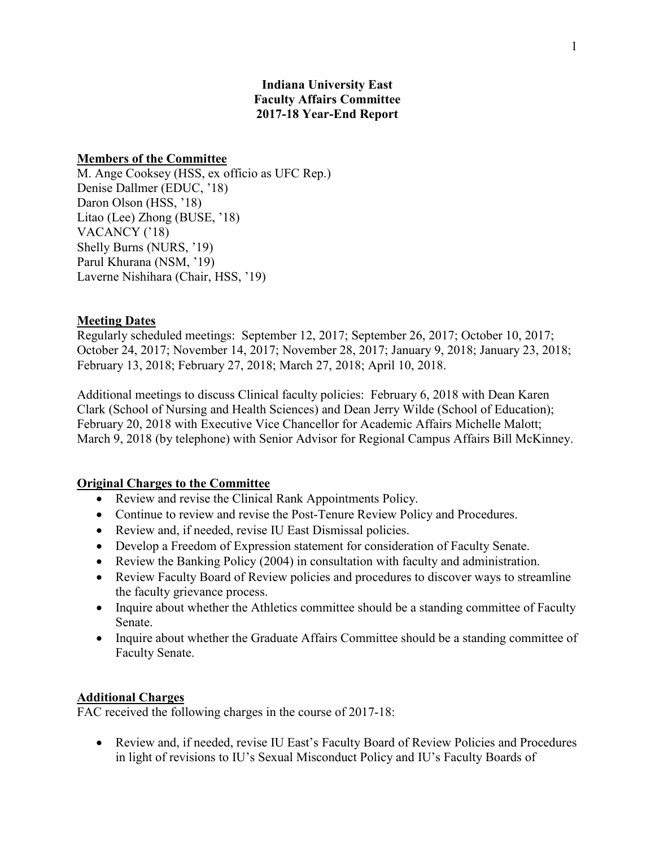## **Indiana University East Faculty Affairs Committee 2017-18 Year-End Report**

#### **Members of the Committee**

M. Ange Cooksey (HSS, ex officio as UFC Rep.) Denise Dallmer (EDUC, '18) Daron Olson (HSS, '18) Litao (Lee) Zhong (BUSE, '18) VACANCY ('18) Shelly Burns (NURS, '19) Parul Khurana (NSM, '19) Laverne Nishihara (Chair, HSS, '19)

### **Meeting Dates**

Regularly scheduled meetings: September 12, 2017; September 26, 2017; October 10, 2017; October 24, 2017; November 14, 2017; November 28, 2017; January 9, 2018; January 23, 2018; February 13, 2018; February 27, 2018; March 27, 2018; April 10, 2018.

Additional meetings to discuss Clinical faculty policies: February 6, 2018 with Dean Karen Clark (School of Nursing and Health Sciences) and Dean Jerry Wilde (School of Education); February 20, 2018 with Executive Vice Chancellor for Academic Affairs Michelle Malott; March 9, 2018 (by telephone) with Senior Advisor for Regional Campus Affairs Bill McKinney.

#### **Original Charges to the Committee**

- Review and revise the Clinical Rank Appointments Policy.
- Continue to review and revise the Post-Tenure Review Policy and Procedures.
- Review and, if needed, revise IU East Dismissal policies.
- Develop a Freedom of Expression statement for consideration of Faculty Senate.
- Review the Banking Policy (2004) in consultation with faculty and administration.
- Review Faculty Board of Review policies and procedures to discover ways to streamline the faculty grievance process.
- Inquire about whether the Athletics committee should be a standing committee of Faculty Senate.
- Inquire about whether the Graduate Affairs Committee should be a standing committee of Faculty Senate.

#### **Additional Charges**

FAC received the following charges in the course of 2017-18:

• Review and, if needed, revise IU East's Faculty Board of Review Policies and Procedures in light of revisions to IU's Sexual Misconduct Policy and IU's Faculty Boards of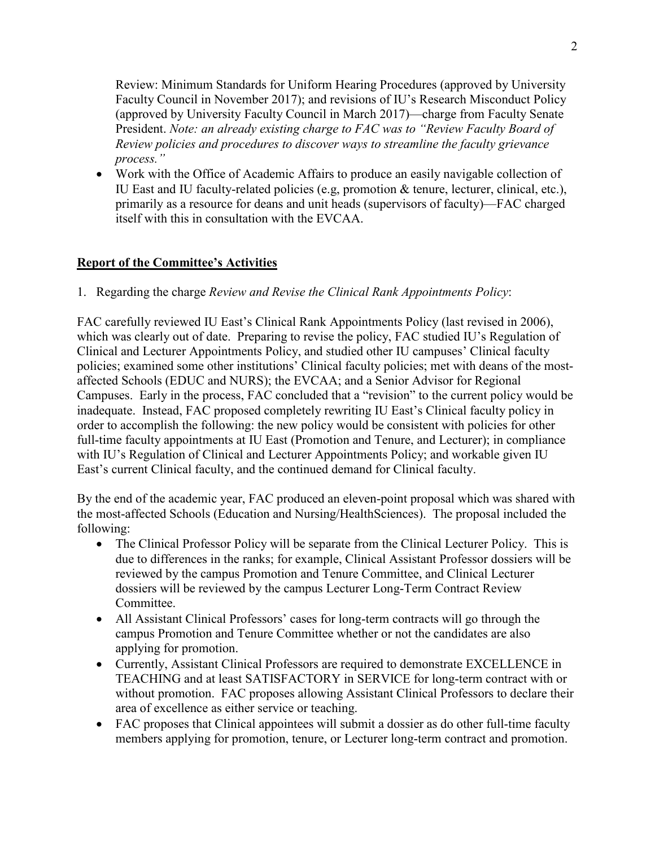Review: Minimum Standards for Uniform Hearing Procedures (approved by University Faculty Council in November 2017); and revisions of IU's Research Misconduct Policy (approved by University Faculty Council in March 2017)—charge from Faculty Senate President. *Note: an already existing charge to FAC was to "Review Faculty Board of Review policies and procedures to discover ways to streamline the faculty grievance process."*

• Work with the Office of Academic Affairs to produce an easily navigable collection of IU East and IU faculty-related policies (e.g, promotion & tenure, lecturer, clinical, etc.), primarily as a resource for deans and unit heads (supervisors of faculty)—FAC charged itself with this in consultation with the EVCAA.

## **Report of the Committee's Activities**

1. Regarding the charge *Review and Revise the Clinical Rank Appointments Policy*:

FAC carefully reviewed IU East's Clinical Rank Appointments Policy (last revised in 2006), which was clearly out of date. Preparing to revise the policy, FAC studied IU's Regulation of Clinical and Lecturer Appointments Policy, and studied other IU campuses' Clinical faculty policies; examined some other institutions' Clinical faculty policies; met with deans of the mostaffected Schools (EDUC and NURS); the EVCAA; and a Senior Advisor for Regional Campuses. Early in the process, FAC concluded that a "revision" to the current policy would be inadequate. Instead, FAC proposed completely rewriting IU East's Clinical faculty policy in order to accomplish the following: the new policy would be consistent with policies for other full-time faculty appointments at IU East (Promotion and Tenure, and Lecturer); in compliance with IU's Regulation of Clinical and Lecturer Appointments Policy; and workable given IU East's current Clinical faculty, and the continued demand for Clinical faculty.

By the end of the academic year, FAC produced an eleven-point proposal which was shared with the most-affected Schools (Education and Nursing/HealthSciences). The proposal included the following:

- The Clinical Professor Policy will be separate from the Clinical Lecturer Policy. This is due to differences in the ranks; for example, Clinical Assistant Professor dossiers will be reviewed by the campus Promotion and Tenure Committee, and Clinical Lecturer dossiers will be reviewed by the campus Lecturer Long-Term Contract Review Committee.
- All Assistant Clinical Professors' cases for long-term contracts will go through the campus Promotion and Tenure Committee whether or not the candidates are also applying for promotion.
- Currently, Assistant Clinical Professors are required to demonstrate EXCELLENCE in TEACHING and at least SATISFACTORY in SERVICE for long-term contract with or without promotion.FAC proposes allowing Assistant Clinical Professors to declare their area of excellence as either service or teaching.
- FAC proposes that Clinical appointees will submit a dossier as do other full-time faculty members applying for promotion, tenure, or Lecturer long-term contract and promotion.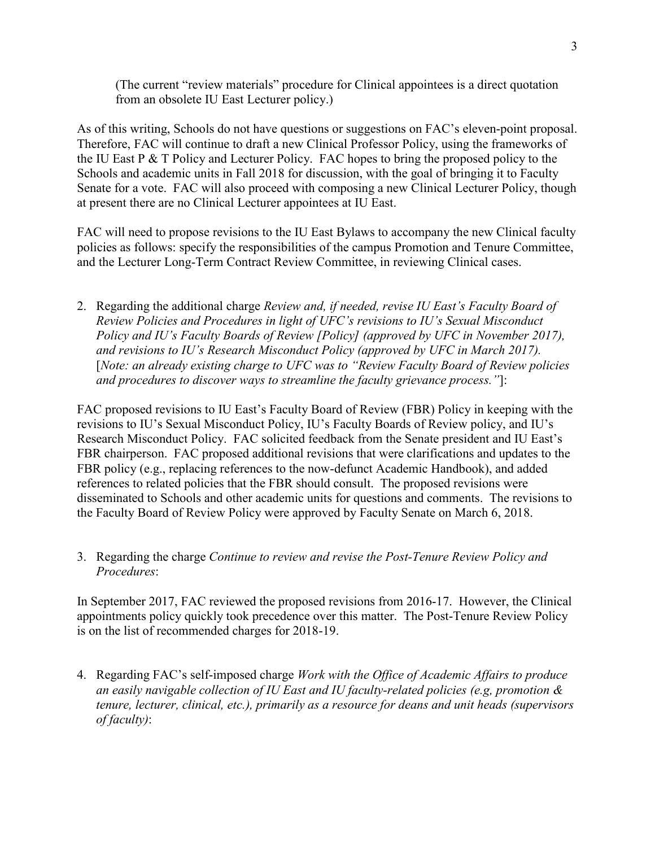(The current "review materials" procedure for Clinical appointees is a direct quotation from an obsolete IU East Lecturer policy.)

As of this writing, Schools do not have questions or suggestions on FAC's eleven-point proposal. Therefore, FAC will continue to draft a new Clinical Professor Policy, using the frameworks of the IU East P & T Policy and Lecturer Policy. FAC hopes to bring the proposed policy to the Schools and academic units in Fall 2018 for discussion, with the goal of bringing it to Faculty Senate for a vote. FAC will also proceed with composing a new Clinical Lecturer Policy, though at present there are no Clinical Lecturer appointees at IU East.

FAC will need to propose revisions to the IU East Bylaws to accompany the new Clinical faculty policies as follows: specify the responsibilities of the campus Promotion and Tenure Committee, and the Lecturer Long-Term Contract Review Committee, in reviewing Clinical cases.

2. Regarding the additional charge *Review and, if needed, revise IU East's Faculty Board of Review Policies and Procedures in light of UFC's revisions to IU's Sexual Misconduct Policy and IU's Faculty Boards of Review [Policy] (approved by UFC in November 2017), and revisions to IU's Research Misconduct Policy (approved by UFC in March 2017).*  [*Note: an already existing charge to UFC was to "Review Faculty Board of Review policies and procedures to discover ways to streamline the faculty grievance process."*]:

FAC proposed revisions to IU East's Faculty Board of Review (FBR) Policy in keeping with the revisions to IU's Sexual Misconduct Policy, IU's Faculty Boards of Review policy, and IU's Research Misconduct Policy. FAC solicited feedback from the Senate president and IU East's FBR chairperson. FAC proposed additional revisions that were clarifications and updates to the FBR policy (e.g., replacing references to the now-defunct Academic Handbook), and added references to related policies that the FBR should consult. The proposed revisions were disseminated to Schools and other academic units for questions and comments. The revisions to the Faculty Board of Review Policy were approved by Faculty Senate on March 6, 2018.

3. Regarding the charge *Continue to review and revise the Post-Tenure Review Policy and Procedures*:

In September 2017, FAC reviewed the proposed revisions from 2016-17. However, the Clinical appointments policy quickly took precedence over this matter. The Post-Tenure Review Policy is on the list of recommended charges for 2018-19.

4. Regarding FAC's self-imposed charge *Work with the Office of Academic Affairs to produce an easily navigable collection of IU East and IU faculty-related policies (e.g, promotion & tenure, lecturer, clinical, etc.), primarily as a resource for deans and unit heads (supervisors of faculty)*: